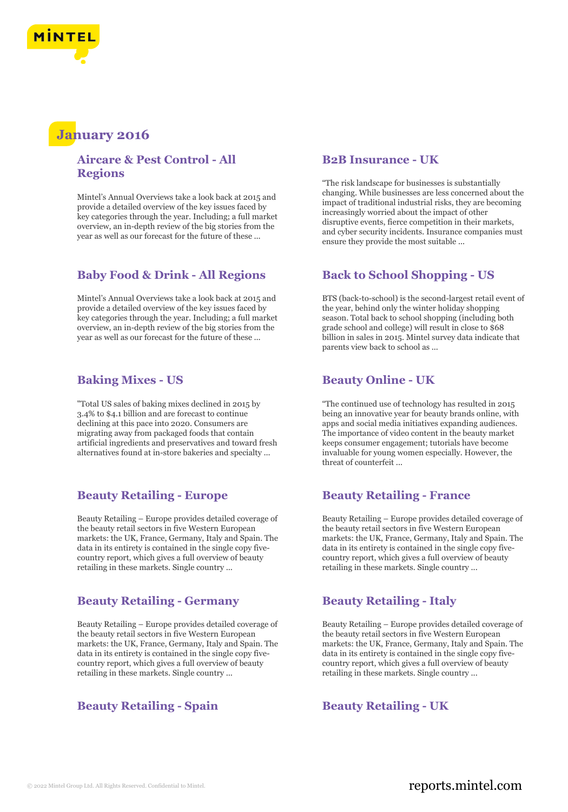

# **January 2016**

## **Aircare & Pest Control - All Regions**

Mintel's Annual Overviews take a look back at 2015 and provide a detailed overview of the key issues faced by key categories through the year. Including; a full market overview, an in-depth review of the big stories from the year as well as our forecast for the future of these ...

# **Baby Food & Drink - All Regions**

Mintel's Annual Overviews take a look back at 2015 and provide a detailed overview of the key issues faced by key categories through the year. Including; a full market overview, an in-depth review of the big stories from the year as well as our forecast for the future of these ...

### **Baking Mixes - US**

"Total US sales of baking mixes declined in 2015 by 3.4% to \$4.1 billion and are forecast to continue declining at this pace into 2020. Consumers are migrating away from packaged foods that contain artificial ingredients and preservatives and toward fresh alternatives found at in-store bakeries and specialty ...

### **Beauty Retailing - Europe**

Beauty Retailing – Europe provides detailed coverage of the beauty retail sectors in five Western European markets: the UK, France, Germany, Italy and Spain. The data in its entirety is contained in the single copy fivecountry report, which gives a full overview of beauty retailing in these markets. Single country ...

### **Beauty Retailing - Germany**

Beauty Retailing – Europe provides detailed coverage of the beauty retail sectors in five Western European markets: the UK, France, Germany, Italy and Spain. The data in its entirety is contained in the single copy fivecountry report, which gives a full overview of beauty retailing in these markets. Single country ...

# **Beauty Retailing - Spain Beauty Retailing - UK**

#### **B2B Insurance - UK**

"The risk landscape for businesses is substantially changing. While businesses are less concerned about the impact of traditional industrial risks, they are becoming increasingly worried about the impact of other disruptive events, fierce competition in their markets, and cyber security incidents. Insurance companies must ensure they provide the most suitable ...

# **Back to School Shopping - US**

BTS (back-to-school) is the second-largest retail event of the year, behind only the winter holiday shopping season. Total back to school shopping (including both grade school and college) will result in close to \$68 billion in sales in 2015. Mintel survey data indicate that parents view back to school as ...

## **Beauty Online - UK**

"The continued use of technology has resulted in 2015 being an innovative year for beauty brands online, with apps and social media initiatives expanding audiences. The importance of video content in the beauty market keeps consumer engagement; tutorials have become invaluable for young women especially. However, the threat of counterfeit ...

### **Beauty Retailing - France**

Beauty Retailing – Europe provides detailed coverage of the beauty retail sectors in five Western European markets: the UK, France, Germany, Italy and Spain. The data in its entirety is contained in the single copy fivecountry report, which gives a full overview of beauty retailing in these markets. Single country ...

### **Beauty Retailing - Italy**

Beauty Retailing – Europe provides detailed coverage of the beauty retail sectors in five Western European markets: the UK, France, Germany, Italy and Spain. The data in its entirety is contained in the single copy fivecountry report, which gives a full overview of beauty retailing in these markets. Single country ...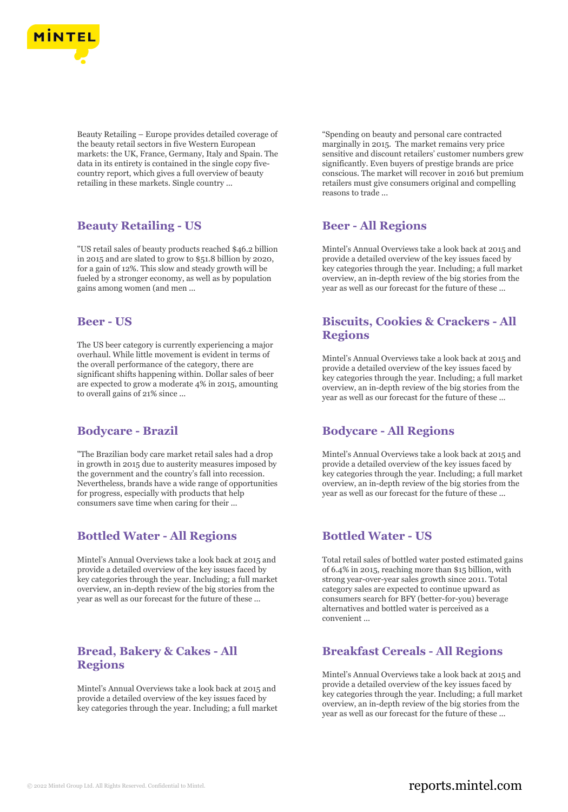

Beauty Retailing – Europe provides detailed coverage of the beauty retail sectors in five Western European markets: the UK, France, Germany, Italy and Spain. The data in its entirety is contained in the single copy fivecountry report, which gives a full overview of beauty retailing in these markets. Single country ...

## **Beauty Retailing - US**

"US retail sales of beauty products reached \$46.2 billion in 2015 and are slated to grow to \$51.8 billion by 2020, for a gain of 12%. This slow and steady growth will be fueled by a stronger economy, as well as by population gains among women (and men ...

#### **Beer - US**

The US beer category is currently experiencing a major overhaul. While little movement is evident in terms of the overall performance of the category, there are significant shifts happening within. Dollar sales of beer are expected to grow a moderate 4% in 2015, amounting to overall gains of 21% since ...

### **Bodycare - Brazil**

"The Brazilian body care market retail sales had a drop in growth in 2015 due to austerity measures imposed by the government and the country's fall into recession. Nevertheless, brands have a wide range of opportunities for progress, especially with products that help consumers save time when caring for their ...

# **Bottled Water - All Regions**

Mintel's Annual Overviews take a look back at 2015 and provide a detailed overview of the key issues faced by key categories through the year. Including; a full market overview, an in-depth review of the big stories from the year as well as our forecast for the future of these ...

# **Bread, Bakery & Cakes - All Regions**

Mintel's Annual Overviews take a look back at 2015 and provide a detailed overview of the key issues faced by key categories through the year. Including; a full market "Spending on beauty and personal care contracted marginally in 2015. The market remains very price sensitive and discount retailers' customer numbers grew significantly. Even buyers of prestige brands are price conscious. The market will recover in 2016 but premium retailers must give consumers original and compelling reasons to trade ...

## **Beer - All Regions**

Mintel's Annual Overviews take a look back at 2015 and provide a detailed overview of the key issues faced by key categories through the year. Including; a full market overview, an in-depth review of the big stories from the year as well as our forecast for the future of these ...

# **Biscuits, Cookies & Crackers - All Regions**

Mintel's Annual Overviews take a look back at 2015 and provide a detailed overview of the key issues faced by key categories through the year. Including; a full market overview, an in-depth review of the big stories from the year as well as our forecast for the future of these ...

# **Bodycare - All Regions**

Mintel's Annual Overviews take a look back at 2015 and provide a detailed overview of the key issues faced by key categories through the year. Including; a full market overview, an in-depth review of the big stories from the year as well as our forecast for the future of these ...

# **Bottled Water - US**

Total retail sales of bottled water posted estimated gains of 6.4% in 2015, reaching more than \$15 billion, with strong year-over-year sales growth since 2011. Total category sales are expected to continue upward as consumers search for BFY (better-for-you) beverage alternatives and bottled water is perceived as a convenient ...

# **Breakfast Cereals - All Regions**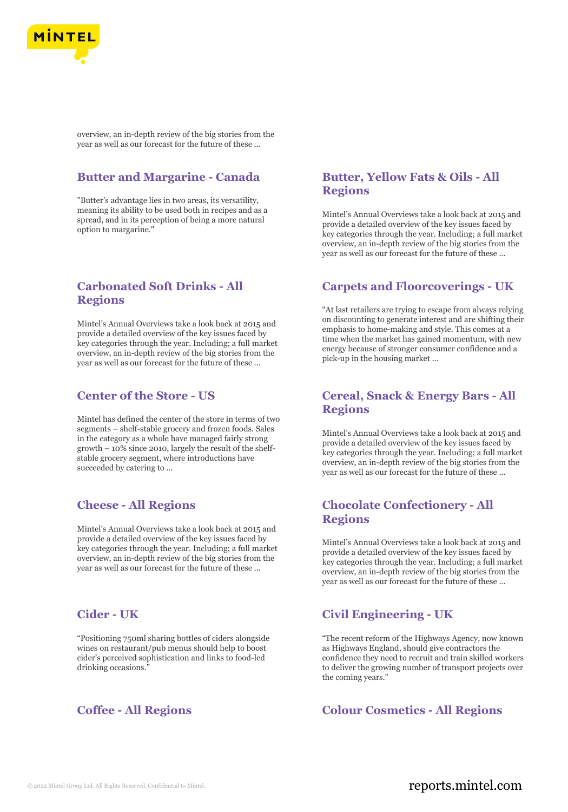

overview, an in-depth review of the big stories from the year as well as our forecast for the future of these ...

## **Butter and Margarine - Canada**

"Butter's advantage lies in two areas, its versatility, meaning its ability to be used both in recipes and as a spread, and in its perception of being a more natural option to margarine."

## **Carbonated Soft Drinks - All Regions**

Mintel's Annual Overviews take a look back at 2015 and provide a detailed overview of the key issues faced by key categories through the year. Including; a full market overview, an in-depth review of the big stories from the year as well as our forecast for the future of these ...

## **Center of the Store - US**

Mintel has defined the center of the store in terms of two segments – shelf-stable grocery and frozen foods. Sales in the category as a whole have managed fairly strong growth – 10% since 2010, largely the result of the shelfstable grocery segment, where introductions have succeeded by catering to ...

# **Cheese - All Regions**

Mintel's Annual Overviews take a look back at 2015 and provide a detailed overview of the key issues faced by key categories through the year. Including; a full market overview, an in-depth review of the big stories from the year as well as our forecast for the future of these ...

### **Cider - UK**

"Positioning 750ml sharing bottles of ciders alongside wines on restaurant/pub menus should help to boost cider's perceived sophistication and links to food-led drinking occasions."

# **Butter, Yellow Fats & Oils - All Regions**

Mintel's Annual Overviews take a look back at 2015 and provide a detailed overview of the key issues faced by key categories through the year. Including; a full market overview, an in-depth review of the big stories from the year as well as our forecast for the future of these ...

### **Carpets and Floorcoverings - UK**

"At last retailers are trying to escape from always relying on discounting to generate interest and are shifting their emphasis to home-making and style. This comes at a time when the market has gained momentum, with new energy because of stronger consumer confidence and a pick-up in the housing market ...

# **Cereal, Snack & Energy Bars - All Regions**

Mintel's Annual Overviews take a look back at 2015 and provide a detailed overview of the key issues faced by key categories through the year. Including; a full market overview, an in-depth review of the big stories from the year as well as our forecast for the future of these ...

## **Chocolate Confectionery - All Regions**

Mintel's Annual Overviews take a look back at 2015 and provide a detailed overview of the key issues faced by key categories through the year. Including; a full market overview, an in-depth review of the big stories from the year as well as our forecast for the future of these ...

# **Civil Engineering - UK**

"The recent reform of the Highways Agency, now known as Highways England, should give contractors the confidence they need to recruit and train skilled workers to deliver the growing number of transport projects over the coming years."

## **Coffee - All Regions Colour Cosmetics - All Regions**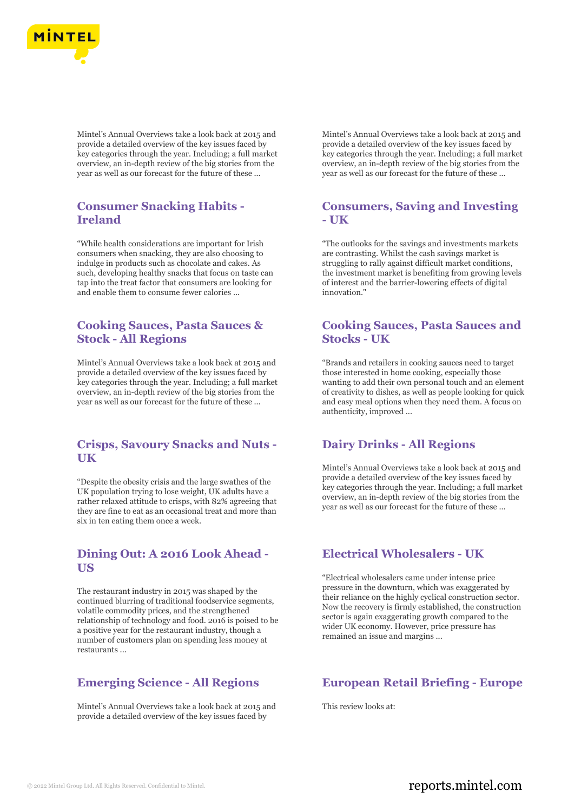

Mintel's Annual Overviews take a look back at 2015 and provide a detailed overview of the key issues faced by key categories through the year. Including; a full market overview, an in-depth review of the big stories from the year as well as our forecast for the future of these ...

## **Consumer Snacking Habits - Ireland**

"While health considerations are important for Irish consumers when snacking, they are also choosing to indulge in products such as chocolate and cakes. As such, developing healthy snacks that focus on taste can tap into the treat factor that consumers are looking for and enable them to consume fewer calories ...

# **Cooking Sauces, Pasta Sauces & Stock - All Regions**

Mintel's Annual Overviews take a look back at 2015 and provide a detailed overview of the key issues faced by key categories through the year. Including; a full market overview, an in-depth review of the big stories from the year as well as our forecast for the future of these ...

### **Crisps, Savoury Snacks and Nuts - UK**

"Despite the obesity crisis and the large swathes of the UK population trying to lose weight, UK adults have a rather relaxed attitude to crisps, with 82% agreeing that they are fine to eat as an occasional treat and more than six in ten eating them once a week.

### **Dining Out: A 2016 Look Ahead - US**

The restaurant industry in 2015 was shaped by the continued blurring of traditional foodservice segments, volatile commodity prices, and the strengthened relationship of technology and food. 2016 is poised to be a positive year for the restaurant industry, though a number of customers plan on spending less money at restaurants ...

# **Emerging Science - All Regions**

Mintel's Annual Overviews take a look back at 2015 and provide a detailed overview of the key issues faced by

Mintel's Annual Overviews take a look back at 2015 and provide a detailed overview of the key issues faced by key categories through the year. Including; a full market overview, an in-depth review of the big stories from the year as well as our forecast for the future of these ...

## **Consumers, Saving and Investing - UK**

"The outlooks for the savings and investments markets are contrasting. Whilst the cash savings market is struggling to rally against difficult market conditions, the investment market is benefiting from growing levels of interest and the barrier-lowering effects of digital innovation."

## **Cooking Sauces, Pasta Sauces and Stocks - UK**

"Brands and retailers in cooking sauces need to target those interested in home cooking, especially those wanting to add their own personal touch and an element of creativity to dishes, as well as people looking for quick and easy meal options when they need them. A focus on authenticity, improved ...

### **Dairy Drinks - All Regions**

Mintel's Annual Overviews take a look back at 2015 and provide a detailed overview of the key issues faced by key categories through the year. Including; a full market overview, an in-depth review of the big stories from the year as well as our forecast for the future of these ...

# **Electrical Wholesalers - UK**

"Electrical wholesalers came under intense price pressure in the downturn, which was exaggerated by their reliance on the highly cyclical construction sector. Now the recovery is firmly established, the construction sector is again exaggerating growth compared to the wider UK economy. However, price pressure has remained an issue and margins ...

### **European Retail Briefing - Europe**

This review looks at: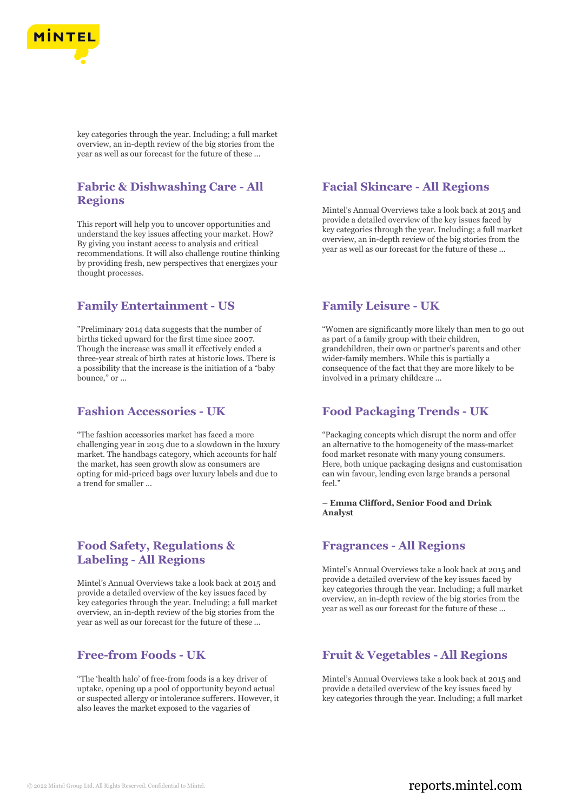

key categories through the year. Including; a full market overview, an in-depth review of the big stories from the year as well as our forecast for the future of these ...

# **Fabric & Dishwashing Care - All Regions**

This report will help you to uncover opportunities and understand the key issues affecting your market. How? By giving you instant access to analysis and critical recommendations. It will also challenge routine thinking by providing fresh, new perspectives that energizes your thought processes.

### **Family Entertainment - US**

"Preliminary 2014 data suggests that the number of births ticked upward for the first time since 2007. Though the increase was small it effectively ended a three-year streak of birth rates at historic lows. There is a possibility that the increase is the initiation of a "baby bounce," or ...

### **Fashion Accessories - UK**

"The fashion accessories market has faced a more challenging year in 2015 due to a slowdown in the luxury market. The handbags category, which accounts for half the market, has seen growth slow as consumers are opting for mid-priced bags over luxury labels and due to a trend for smaller ...

## **Food Safety, Regulations & Labeling - All Regions**

Mintel's Annual Overviews take a look back at 2015 and provide a detailed overview of the key issues faced by key categories through the year. Including; a full market overview, an in-depth review of the big stories from the year as well as our forecast for the future of these ...

## **Free-from Foods - UK**

"The 'health halo' of free-from foods is a key driver of uptake, opening up a pool of opportunity beyond actual or suspected allergy or intolerance sufferers. However, it also leaves the market exposed to the vagaries of

### **Facial Skincare - All Regions**

Mintel's Annual Overviews take a look back at 2015 and provide a detailed overview of the key issues faced by key categories through the year. Including; a full market overview, an in-depth review of the big stories from the year as well as our forecast for the future of these ...

### **Family Leisure - UK**

"Women are significantly more likely than men to go out as part of a family group with their children, grandchildren, their own or partner's parents and other wider-family members. While this is partially a consequence of the fact that they are more likely to be involved in a primary childcare ...

### **Food Packaging Trends - UK**

"Packaging concepts which disrupt the norm and offer an alternative to the homogeneity of the mass-market food market resonate with many young consumers. Here, both unique packaging designs and customisation can win favour, lending even large brands a personal  $f_{\rho\rho}$ ]"

#### **– Emma Clifford, Senior Food and Drink Analyst**

#### **Fragrances - All Regions**

Mintel's Annual Overviews take a look back at 2015 and provide a detailed overview of the key issues faced by key categories through the year. Including; a full market overview, an in-depth review of the big stories from the year as well as our forecast for the future of these ...

# **Fruit & Vegetables - All Regions**

Mintel's Annual Overviews take a look back at 2015 and provide a detailed overview of the key issues faced by key categories through the year. Including; a full market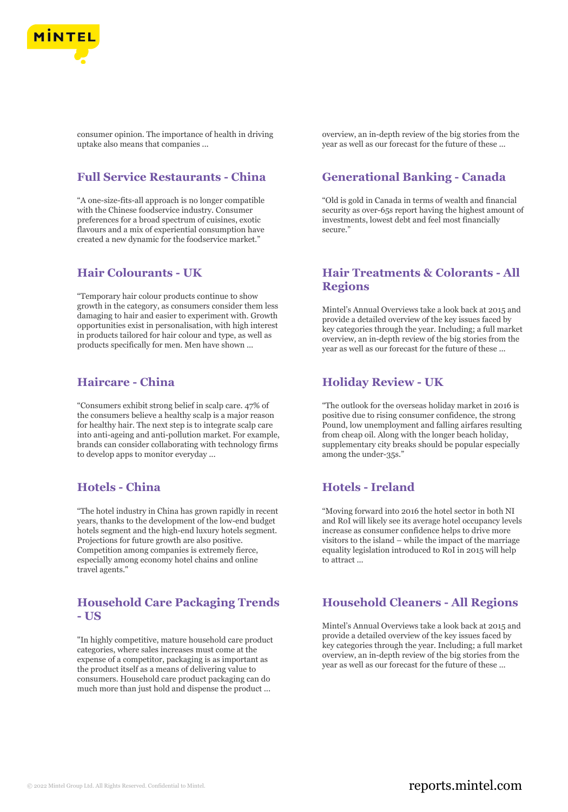

consumer opinion. The importance of health in driving uptake also means that companies ...

## **Full Service Restaurants - China**

"A one-size-fits-all approach is no longer compatible with the Chinese foodservice industry. Consumer preferences for a broad spectrum of cuisines, exotic flavours and a mix of experiential consumption have created a new dynamic for the foodservice market."

#### **Hair Colourants - UK**

"Temporary hair colour products continue to show growth in the category, as consumers consider them less damaging to hair and easier to experiment with. Growth opportunities exist in personalisation, with high interest in products tailored for hair colour and type, as well as products specifically for men. Men have shown ...

#### **Haircare - China**

"Consumers exhibit strong belief in scalp care. 47% of the consumers believe a healthy scalp is a major reason for healthy hair. The next step is to integrate scalp care into anti-ageing and anti-pollution market. For example, brands can consider collaborating with technology firms to develop apps to monitor everyday ...

## **Hotels - China**

"The hotel industry in China has grown rapidly in recent years, thanks to the development of the low-end budget hotels segment and the high-end luxury hotels segment. Projections for future growth are also positive. Competition among companies is extremely fierce, especially among economy hotel chains and online travel agents."

# **Household Care Packaging Trends - US**

"In highly competitive, mature household care product categories, where sales increases must come at the expense of a competitor, packaging is as important as the product itself as a means of delivering value to consumers. Household care product packaging can do much more than just hold and dispense the product ...

overview, an in-depth review of the big stories from the year as well as our forecast for the future of these ...

## **Generational Banking - Canada**

"Old is gold in Canada in terms of wealth and financial security as over-65s report having the highest amount of investments, lowest debt and feel most financially secure."

## **Hair Treatments & Colorants - All Regions**

Mintel's Annual Overviews take a look back at 2015 and provide a detailed overview of the key issues faced by key categories through the year. Including; a full market overview, an in-depth review of the big stories from the year as well as our forecast for the future of these ...

### **Holiday Review - UK**

"The outlook for the overseas holiday market in 2016 is positive due to rising consumer confidence, the strong Pound, low unemployment and falling airfares resulting from cheap oil. Along with the longer beach holiday, supplementary city breaks should be popular especially among the under-35s."

#### **Hotels - Ireland**

"Moving forward into 2016 the hotel sector in both NI and RoI will likely see its average hotel occupancy levels increase as consumer confidence helps to drive more visitors to the island – while the impact of the marriage equality legislation introduced to RoI in 2015 will help to attract ...

### **Household Cleaners - All Regions**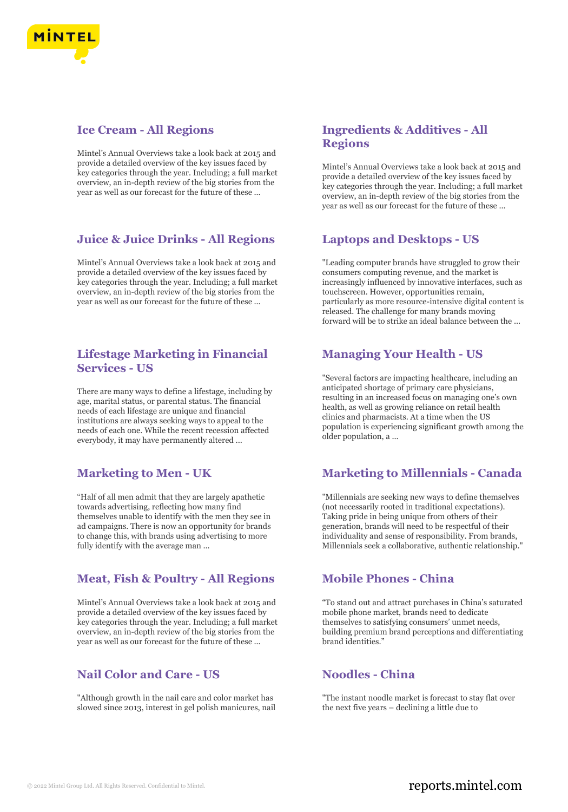

## **Ice Cream - All Regions**

Mintel's Annual Overviews take a look back at 2015 and provide a detailed overview of the key issues faced by key categories through the year. Including; a full market overview, an in-depth review of the big stories from the year as well as our forecast for the future of these ...

# **Juice & Juice Drinks - All Regions**

Mintel's Annual Overviews take a look back at 2015 and provide a detailed overview of the key issues faced by key categories through the year. Including; a full market overview, an in-depth review of the big stories from the year as well as our forecast for the future of these ...

## **Lifestage Marketing in Financial Services - US**

There are many ways to define a lifestage, including by age, marital status, or parental status. The financial needs of each lifestage are unique and financial institutions are always seeking ways to appeal to the needs of each one. While the recent recession affected everybody, it may have permanently altered ...

# **Marketing to Men - UK**

"Half of all men admit that they are largely apathetic towards advertising, reflecting how many find themselves unable to identify with the men they see in ad campaigns. There is now an opportunity for brands to change this, with brands using advertising to more fully identify with the average man ...

# **Meat, Fish & Poultry - All Regions**

Mintel's Annual Overviews take a look back at 2015 and provide a detailed overview of the key issues faced by key categories through the year. Including; a full market overview, an in-depth review of the big stories from the year as well as our forecast for the future of these ...

# **Nail Color and Care - US**

"Although growth in the nail care and color market has slowed since 2013, interest in gel polish manicures, nail

# **Ingredients & Additives - All Regions**

Mintel's Annual Overviews take a look back at 2015 and provide a detailed overview of the key issues faced by key categories through the year. Including; a full market overview, an in-depth review of the big stories from the year as well as our forecast for the future of these ...

## **Laptops and Desktops - US**

"Leading computer brands have struggled to grow their consumers computing revenue, and the market is increasingly influenced by innovative interfaces, such as touchscreen. However, opportunities remain, particularly as more resource-intensive digital content is released. The challenge for many brands moving forward will be to strike an ideal balance between the ...

# **Managing Your Health - US**

"Several factors are impacting healthcare, including an anticipated shortage of primary care physicians, resulting in an increased focus on managing one's own health, as well as growing reliance on retail health clinics and pharmacists. At a time when the US population is experiencing significant growth among the older population, a ...

# **Marketing to Millennials - Canada**

"Millennials are seeking new ways to define themselves (not necessarily rooted in traditional expectations). Taking pride in being unique from others of their generation, brands will need to be respectful of their individuality and sense of responsibility. From brands, Millennials seek a collaborative, authentic relationship."

### **Mobile Phones - China**

"To stand out and attract purchases in China's saturated mobile phone market, brands need to dedicate themselves to satisfying consumers' unmet needs, building premium brand perceptions and differentiating brand identities."

# **Noodles - China**

"The instant noodle market is forecast to stay flat over the next five years – declining a little due to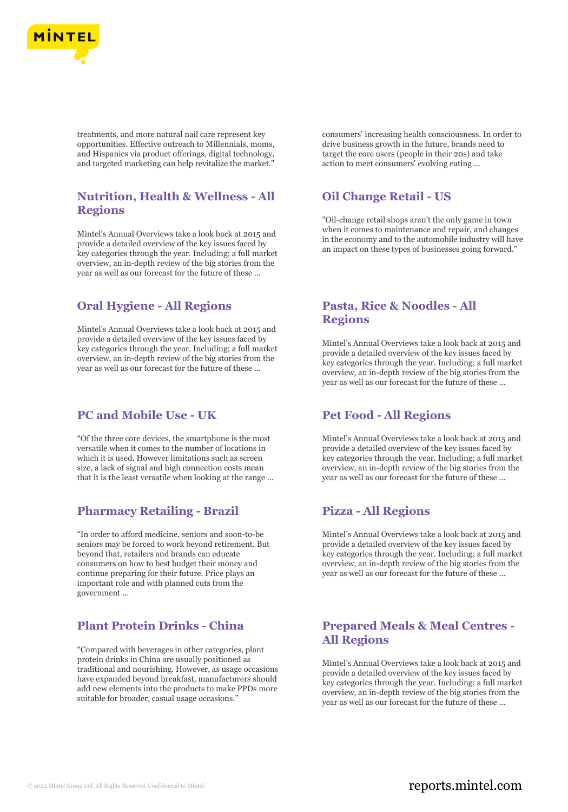

treatments, and more natural nail care represent key opportunities. Effective outreach to Millennials, moms, and Hispanics via product offerings, digital technology, and targeted marketing can help revitalize the market."

## **Nutrition, Health & Wellness - All Regions**

Mintel's Annual Overviews take a look back at 2015 and provide a detailed overview of the key issues faced by key categories through the year. Including; a full market overview, an in-depth review of the big stories from the year as well as our forecast for the future of these ...

### **Oral Hygiene - All Regions**

Mintel's Annual Overviews take a look back at 2015 and provide a detailed overview of the key issues faced by key categories through the year. Including; a full market overview, an in-depth review of the big stories from the year as well as our forecast for the future of these ...

### **PC and Mobile Use - UK**

"Of the three core devices, the smartphone is the most versatile when it comes to the number of locations in which it is used. However limitations such as screen size, a lack of signal and high connection costs mean that it is the least versatile when looking at the range ...

### **Pharmacy Retailing - Brazil**

"In order to afford medicine, seniors and soon-to-be seniors may be forced to work beyond retirement. But beyond that, retailers and brands can educate consumers on how to best budget their money and continue preparing for their future. Price plays an important role and with planned cuts from the government ...

### **Plant Protein Drinks - China**

"Compared with beverages in other categories, plant protein drinks in China are usually positioned as traditional and nourishing. However, as usage occasions have expanded beyond breakfast, manufacturers should add new elements into the products to make PPDs more suitable for broader, casual usage occasions."

consumers' increasing health consciousness. In order to drive business growth in the future, brands need to target the core users (people in their 20s) and take action to meet consumers' evolving eating ...

# **Oil Change Retail - US**

"Oil-change retail shops aren't the only game in town when it comes to maintenance and repair, and changes in the economy and to the automobile industry will have an impact on these types of businesses going forward."

## **Pasta, Rice & Noodles - All Regions**

Mintel's Annual Overviews take a look back at 2015 and provide a detailed overview of the key issues faced by key categories through the year. Including; a full market overview, an in-depth review of the big stories from the year as well as our forecast for the future of these ...

### **Pet Food - All Regions**

Mintel's Annual Overviews take a look back at 2015 and provide a detailed overview of the key issues faced by key categories through the year. Including; a full market overview, an in-depth review of the big stories from the year as well as our forecast for the future of these ...

### **Pizza - All Regions**

Mintel's Annual Overviews take a look back at 2015 and provide a detailed overview of the key issues faced by key categories through the year. Including; a full market overview, an in-depth review of the big stories from the year as well as our forecast for the future of these ...

#### **Prepared Meals & Meal Centres - All Regions**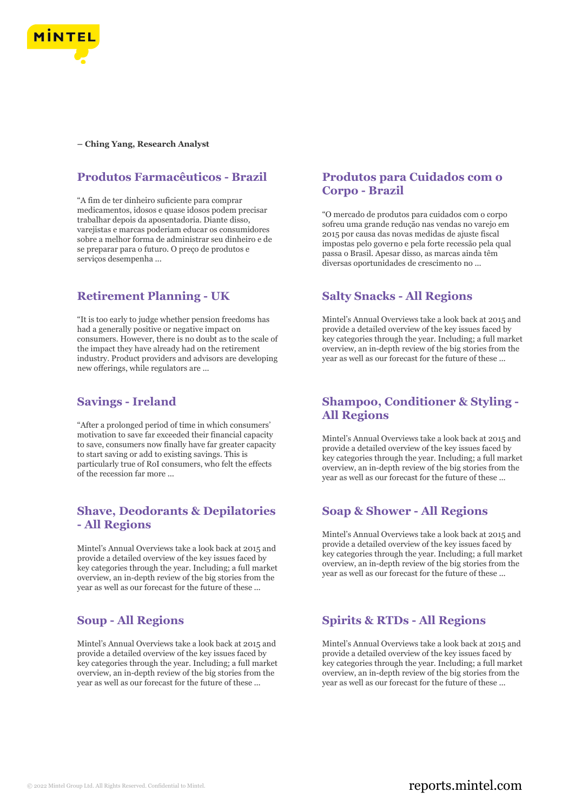

**– Ching Yang, Research Analyst**

## **Produtos Farmacêuticos - Brazil**

"A fim de ter dinheiro suficiente para comprar medicamentos, idosos e quase idosos podem precisar trabalhar depois da aposentadoria. Diante disso, varejistas e marcas poderiam educar os consumidores sobre a melhor forma de administrar seu dinheiro e de se preparar para o futuro. O preço de produtos e serviços desempenha ...

# **Retirement Planning - UK**

"It is too early to judge whether pension freedoms has had a generally positive or negative impact on consumers. However, there is no doubt as to the scale of the impact they have already had on the retirement industry. Product providers and advisors are developing new offerings, while regulators are ...

## **Savings - Ireland**

"After a prolonged period of time in which consumers' motivation to save far exceeded their financial capacity to save, consumers now finally have far greater capacity to start saving or add to existing savings. This is particularly true of RoI consumers, who felt the effects of the recession far more ...

# **Shave, Deodorants & Depilatories - All Regions**

Mintel's Annual Overviews take a look back at 2015 and provide a detailed overview of the key issues faced by key categories through the year. Including; a full market overview, an in-depth review of the big stories from the year as well as our forecast for the future of these ...

# **Soup - All Regions**

Mintel's Annual Overviews take a look back at 2015 and provide a detailed overview of the key issues faced by key categories through the year. Including; a full market overview, an in-depth review of the big stories from the year as well as our forecast for the future of these ...

## **Produtos para Cuidados com o Corpo - Brazil**

"O mercado de produtos para cuidados com o corpo sofreu uma grande redução nas vendas no varejo em 2015 por causa das novas medidas de ajuste fiscal impostas pelo governo e pela forte recessão pela qual passa o Brasil. Apesar disso, as marcas ainda têm diversas oportunidades de crescimento no ...

# **Salty Snacks - All Regions**

Mintel's Annual Overviews take a look back at 2015 and provide a detailed overview of the key issues faced by key categories through the year. Including; a full market overview, an in-depth review of the big stories from the year as well as our forecast for the future of these ...

# **Shampoo, Conditioner & Styling - All Regions**

Mintel's Annual Overviews take a look back at 2015 and provide a detailed overview of the key issues faced by key categories through the year. Including; a full market overview, an in-depth review of the big stories from the year as well as our forecast for the future of these ...

### **Soap & Shower - All Regions**

Mintel's Annual Overviews take a look back at 2015 and provide a detailed overview of the key issues faced by key categories through the year. Including; a full market overview, an in-depth review of the big stories from the year as well as our forecast for the future of these ...

# **Spirits & RTDs - All Regions**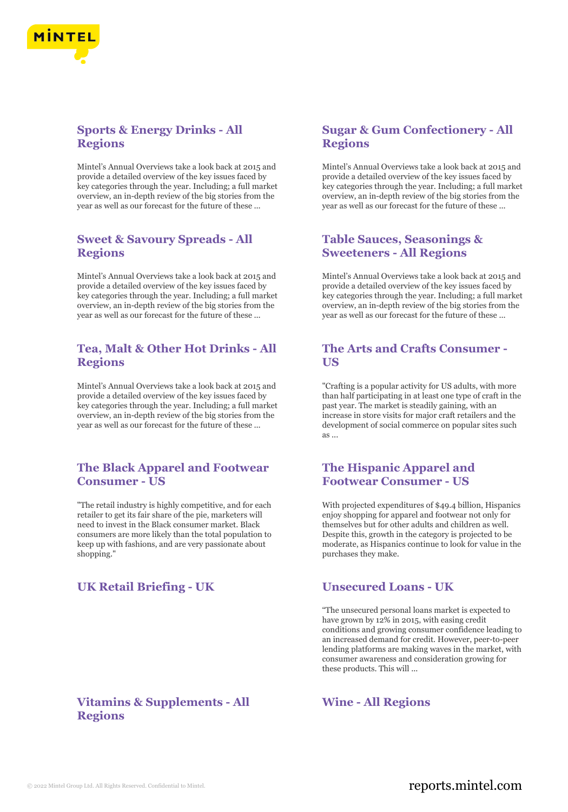

# **Sports & Energy Drinks - All Regions**

Mintel's Annual Overviews take a look back at 2015 and provide a detailed overview of the key issues faced by key categories through the year. Including; a full market overview, an in-depth review of the big stories from the year as well as our forecast for the future of these ...

## **Sweet & Savoury Spreads - All Regions**

Mintel's Annual Overviews take a look back at 2015 and provide a detailed overview of the key issues faced by key categories through the year. Including; a full market overview, an in-depth review of the big stories from the year as well as our forecast for the future of these ...

## **Tea, Malt & Other Hot Drinks - All Regions**

Mintel's Annual Overviews take a look back at 2015 and provide a detailed overview of the key issues faced by key categories through the year. Including; a full market overview, an in-depth review of the big stories from the year as well as our forecast for the future of these ...

## **The Black Apparel and Footwear Consumer - US**

"The retail industry is highly competitive, and for each retailer to get its fair share of the pie, marketers will need to invest in the Black consumer market. Black consumers are more likely than the total population to keep up with fashions, and are very passionate about shopping."

## **UK Retail Briefing - UK Unsecured Loans - UK**

## **Vitamins & Supplements - All Regions**

# **Sugar & Gum Confectionery - All Regions**

Mintel's Annual Overviews take a look back at 2015 and provide a detailed overview of the key issues faced by key categories through the year. Including; a full market overview, an in-depth review of the big stories from the year as well as our forecast for the future of these ...

## **Table Sauces, Seasonings & Sweeteners - All Regions**

Mintel's Annual Overviews take a look back at 2015 and provide a detailed overview of the key issues faced by key categories through the year. Including; a full market overview, an in-depth review of the big stories from the year as well as our forecast for the future of these ...

## **The Arts and Crafts Consumer - US**

"Crafting is a popular activity for US adults, with more than half participating in at least one type of craft in the past year. The market is steadily gaining, with an increase in store visits for major craft retailers and the development of social commerce on popular sites such as ...

## **The Hispanic Apparel and Footwear Consumer - US**

With projected expenditures of \$49.4 billion, Hispanics enjoy shopping for apparel and footwear not only for themselves but for other adults and children as well. Despite this, growth in the category is projected to be moderate, as Hispanics continue to look for value in the purchases they make.

"The unsecured personal loans market is expected to have grown by 12% in 2015, with easing credit conditions and growing consumer confidence leading to an increased demand for credit. However, peer-to-peer lending platforms are making waves in the market, with consumer awareness and consideration growing for these products. This will ...

# **Wine - All Regions**

# © 2022 Mintel Group Ltd. All Rights Reserved. Confidential to Mintel.  $\blacksquare$  reports.mintel.com